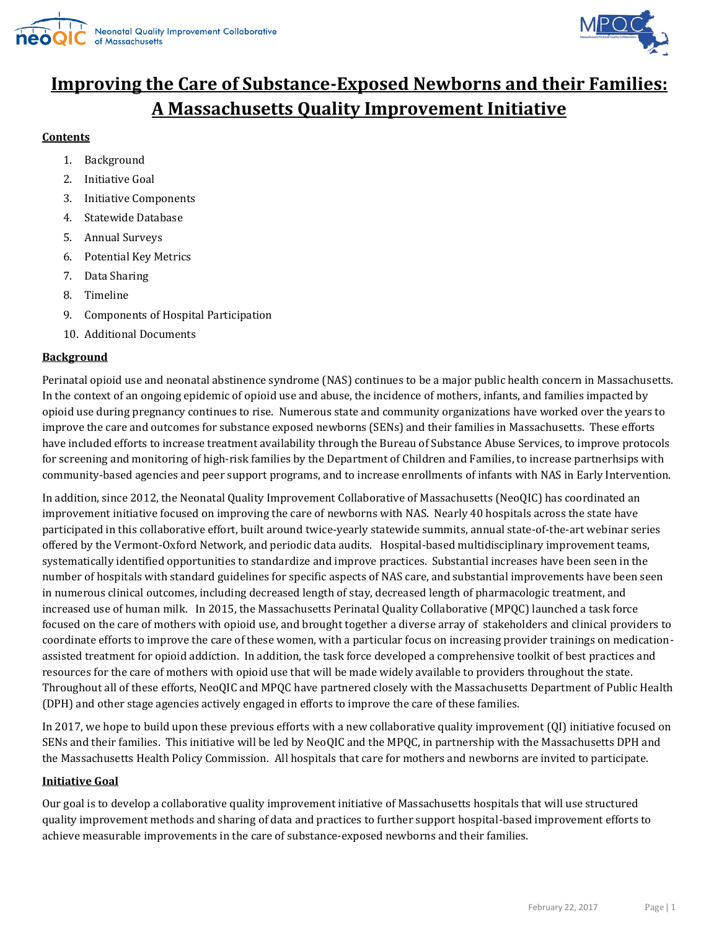



# **Improving the Care of Substance-Exposed Newborns and their Families: A Massachusetts Quality Improvement Initiative**

### **Contents**

- 1. Background
- 2. Initiative Goal
- 3. Initiative Components
- 4. Statewide Database
- 5. Annual Surveys
- 6. Potential Key Metrics
- 7. Data Sharing
- 8. Timeline
- 9. Components of Hospital Participation
- 10. Additional Documents

## **Background**

Perinatal opioid use and neonatal abstinence syndrome (NAS) continues to be a major public health concern in Massachusetts. In the context of an ongoing epidemic of opioid use and abuse, the incidence of mothers, infants, and families impacted by opioid use during pregnancy continues to rise. Numerous state and community organizations have worked over the years to improve the care and outcomes for substance exposed newborns (SENs) and their families in Massachusetts. These efforts have included efforts to increase treatment availability through the Bureau of Substance Abuse Services, to improve protocols for screening and monitoring of high-risk families by the Department of Children and Families, to increase partnerhsips with community-based agencies and peer support programs, and to increase enrollments of infants with NAS in Early Intervention.

In addition, since 2012, the Neonatal Quality Improvement Collaborative of Massachusetts (NeoQIC) has coordinated an improvement initiative focused on improving the care of newborns with NAS. Nearly 40 hospitals across the state have participated in this collaborative effort, built around twice-yearly statewide summits, annual state-of-the-art webinar series offered by the Vermont-Oxford Network, and periodic data audits. Hospital-based multidisciplinary improvement teams, systematically identified opportunities to standardize and improve practices. Substantial increases have been seen in the number of hospitals with standard guidelines for specific aspects of NAS care, and substantial improvements have been seen in numerous clinical outcomes, including decreased length of stay, decreased length of pharmacologic treatment, and increased use of human milk. In 2015, the Massachusetts Perinatal Quality Collaborative (MPQC) launched a task force focused on the care of mothers with opioid use, and brought together a diverse array of stakeholders and clinical providers to coordinate efforts to improve the care of these women, with a particular focus on increasing provider trainings on medicationassisted treatment for opioid addiction. In addition, the task force developed a comprehensive toolkit of best practices and resources for the care of mothers with opioid use that will be made widely available to providers throughout the state. Throughout all of these efforts, NeoQIC and MPQC have partnered closely with the Massachusetts Department of Public Health (DPH) and other stage agencies actively engaged in efforts to improve the care of these families.

In 2017, we hope to build upon these previous efforts with a new collaborative quality improvement (QI) initiative focused on SENs and their families. This initiative will be led by NeoQIC and the MPQC, in partnership with the Massachusetts DPH and the Massachusetts Health Policy Commission. All hospitals that care for mothers and newborns are invited to participate.

#### **Initiative Goal**

Our goal is to develop a collaborative quality improvement initiative of Massachusetts hospitals that will use structured quality improvement methods and sharing of data and practices to further support hospital-based improvement efforts to achieve measurable improvements in the care of substance-exposed newborns and their families.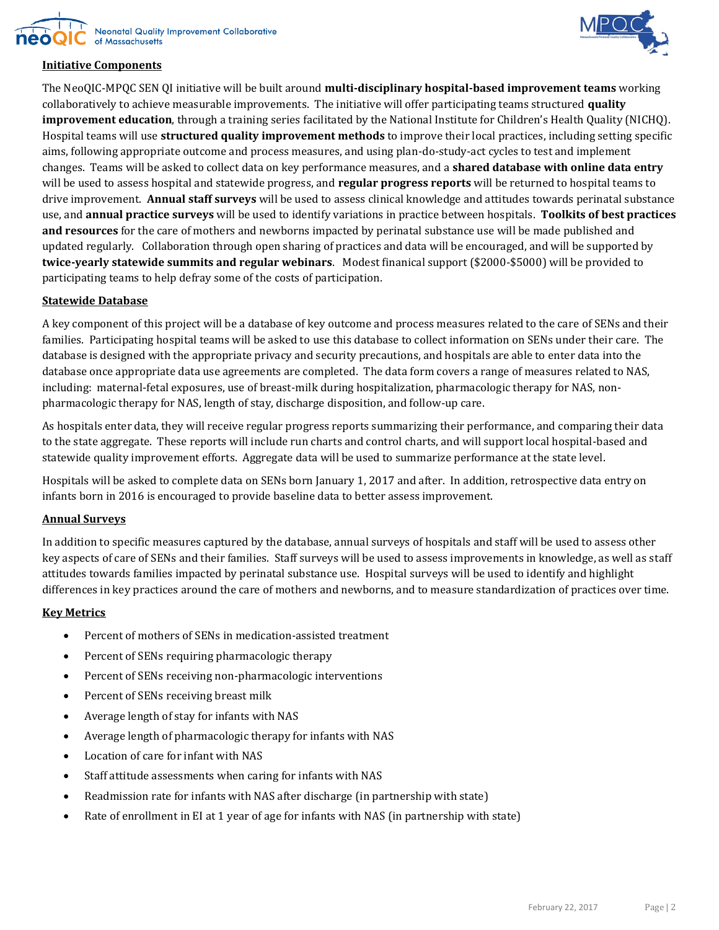





## **Initiative Components**

The NeoQIC-MPQC SEN QI initiative will be built around **multi-disciplinary hospital-based improvement teams** working collaboratively to achieve measurable improvements. The initiative will offer participating teams structured **quality improvement education**, through a training series facilitated by the National Institute for Children's Health Quality (NICHQ). Hospital teams will use **structured quality improvement methods** to improve their local practices, including setting specific aims, following appropriate outcome and process measures, and using plan-do-study-act cycles to test and implement changes. Teams will be asked to collect data on key performance measures, and a **shared database with online data entry** will be used to assess hospital and statewide progress, and **regular progress reports** will be returned to hospital teams to drive improvement. **Annual staff surveys** will be used to assess clinical knowledge and attitudes towards perinatal substance use, and **annual practice surveys** will be used to identify variations in practice between hospitals. **Toolkits of best practices and resources** for the care of mothers and newborns impacted by perinatal substance use will be made published and updated regularly. Collaboration through open sharing of practices and data will be encouraged, and will be supported by **twice-yearly statewide summits and regular webinars**. Modest finanical support (\$2000-\$5000) will be provided to participating teams to help defray some of the costs of participation.

#### **Statewide Database**

A key component of this project will be a database of key outcome and process measures related to the care of SENs and their families. Participating hospital teams will be asked to use this database to collect information on SENs under their care. The database is designed with the appropriate privacy and security precautions, and hospitals are able to enter data into the database once appropriate data use agreements are completed. The data form covers a range of measures related to NAS, including: maternal-fetal exposures, use of breast-milk during hospitalization, pharmacologic therapy for NAS, nonpharmacologic therapy for NAS, length of stay, discharge disposition, and follow-up care.

As hospitals enter data, they will receive regular progress reports summarizing their performance, and comparing their data to the state aggregate. These reports will include run charts and control charts, and will support local hospital-based and statewide quality improvement efforts. Aggregate data will be used to summarize performance at the state level.

Hospitals will be asked to complete data on SENs born January 1, 2017 and after. In addition, retrospective data entry on infants born in 2016 is encouraged to provide baseline data to better assess improvement.

#### **Annual Surveys**

In addition to specific measures captured by the database, annual surveys of hospitals and staff will be used to assess other key aspects of care of SENs and their families. Staff surveys will be used to assess improvements in knowledge, as well as staff attitudes towards families impacted by perinatal substance use. Hospital surveys will be used to identify and highlight differences in key practices around the care of mothers and newborns, and to measure standardization of practices over time.

#### **Key Metrics**

- Percent of mothers of SENs in medication-assisted treatment
- Percent of SENs requiring pharmacologic therapy
- Percent of SENs receiving non-pharmacologic interventions
- Percent of SENs receiving breast milk
- Average length of stay for infants with NAS
- Average length of pharmacologic therapy for infants with NAS
- Location of care for infant with NAS
- Staff attitude assessments when caring for infants with NAS
- Readmission rate for infants with NAS after discharge (in partnership with state)
- Rate of enrollment in EI at 1 year of age for infants with NAS (in partnership with state)